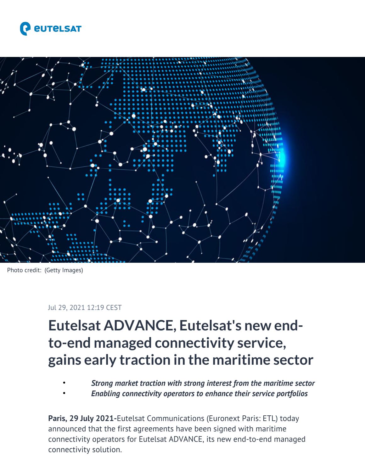



Photo credit: (Getty Images)

#### Jul 29, 2021 12:19 CEST

# **Eutelsat ADVANCE, Eutelsat's new endto-end managed connectivity service, gains early traction in the maritime sector**

- *Strong market traction with strong interest from the maritime sector*
- *Enabling connectivity operators to enhance their service portfolios*

**Paris, 29 July 2021-**Eutelsat Communications (Euronext Paris: ETL) today announced that the first agreements have been signed with maritime connectivity operators for Eutelsat ADVANCE, its new end-to-end managed connectivity solution.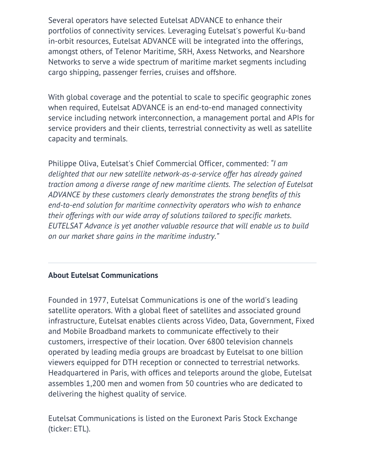Several operators have selected Eutelsat ADVANCE to enhance their portfolios of connectivity services. Leveraging Eutelsat's powerful Ku-band in-orbit resources, Eutelsat ADVANCE will be integrated into the offerings, amongst others, of Telenor Maritime, SRH, Axess Networks, and Nearshore Networks to serve a wide spectrum of maritime market segments including cargo shipping, passenger ferries, cruises and offshore.

With global coverage and the potential to scale to specific geographic zones when required, Eutelsat ADVANCE is an end-to-end managed connectivity service including network interconnection, a management portal and APIs for service providers and their clients, terrestrial connectivity as well as satellite capacity and terminals.

Philippe Oliva, Eutelsat's Chief Commercial Officer, commented: *"I am delighted that our new satellite network-as-a-service offer has already gained traction among a diverse range of new maritime clients. The selection of Eutelsat ADVANCE by these customers clearly demonstrates the strong benefits of this end-to-end solution for maritime connectivity operators who wish to enhance their offerings with our wide array of solutions tailored to specific markets. EUTELSAT Advance is yet another valuable resource that will enable us to build on our market share gains in the maritime industry."*

## **About Eutelsat Communications**

Founded in 1977, Eutelsat Communications is one of the world's leading satellite operators. With a global fleet of satellites and associated ground infrastructure, Eutelsat enables clients across Video, Data, Government, Fixed and Mobile Broadband markets to communicate effectively to their customers, irrespective of their location. Over 6800 television channels operated by leading media groups are broadcast by Eutelsat to one billion viewers equipped for DTH reception or connected to terrestrial networks. Headquartered in Paris, with offices and teleports around the globe, Eutelsat assembles 1,200 men and women from 50 countries who are dedicated to delivering the highest quality of service.

Eutelsat Communications is listed on the Euronext Paris Stock Exchange (ticker: ETL).